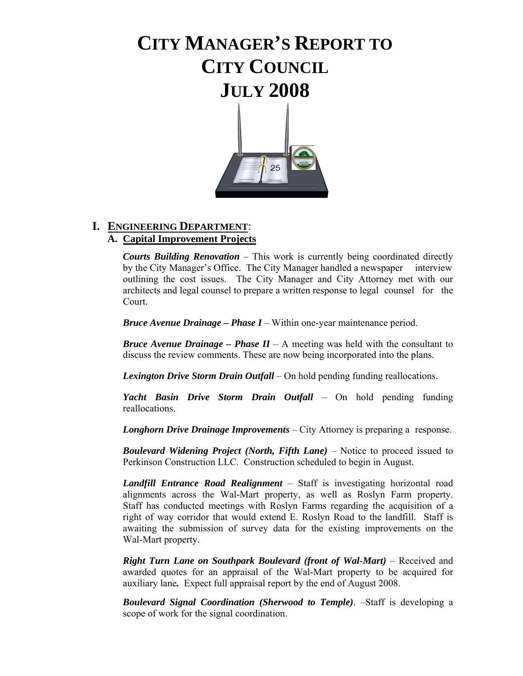# **CITY MANAGER'S REPORT TO CITY COUNCIL JULY 2008**



# **I. ENGINEERING DEPARTMENT**:

#### **A. Capital Improvement Projects**

*Courts Building Renovation* – This work is currently being coordinated directly by the City Manager's Office. The City Manager handled a newspaper interview outlining the cost issues. The City Manager and City Attorney met with our architects and legal counsel to prepare a written response to legal counsel for the Court.

 *Bruce Avenue Drainage – Phase I* – Within one-year maintenance period.

*Bruce Avenue Drainage – Phase*  $II - A$  *meeting was held with the consultant to* discuss the review comments. These are now being incorporated into the plans.

 *Lexington Drive Storm Drain Outfall* – On hold pending funding reallocations.

 *Yacht Basin Drive Storm Drain Outfall* – On hold pending funding reallocations.

 *Longhorn Drive Drainage Improvements* – City Attorney is preparing a response.

**Boulevard Widening Project (North, Fifth Lane)** – Notice to proceed issued to Perkinson Construction LLC. Construction scheduled to begin in August.

 *Landfill Entrance Road Realignment* – Staff is investigating horizontal road alignments across the Wal-Mart property, as well as Roslyn Farm property. Staff has conducted meetings with Roslyn Farms regarding the acquisition of a right of way corridor that would extend E. Roslyn Road to the landfill. Staff is awaiting the submission of survey data for the existing improvements on the Wal-Mart property.

 *Right Turn Lane on Southpark Boulevard (front of Wal-Mart)* – Received and awarded quotes for an appraisal of the Wal-Mart property to be acquired for auxiliary lane*.* Expect full appraisal report by the end of August 2008.

 *Boulevard Signal Coordination (Sherwood to Temple)*. –Staff is developing a scope of work for the signal coordination.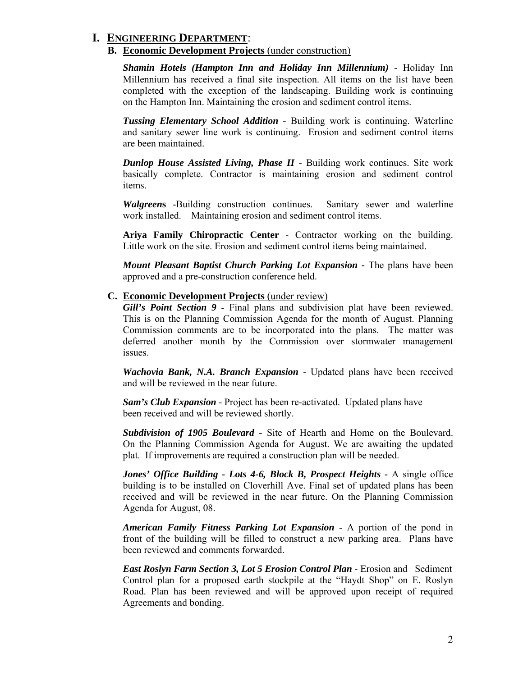#### **I. ENGINEERING DEPARTMENT**:

#### **B. Economic Development Projects** (under construction)

*Shamin Hotels (Hampton Inn and Holiday Inn Millennium)* - Holiday Inn Millennium has received a final site inspection. All items on the list have been completed with the exception of the landscaping. Building work is continuing on the Hampton Inn. Maintaining the erosion and sediment control items.

*Tussing Elementary School Addition* - Building work is continuing. Waterline and sanitary sewer line work is continuing. Erosion and sediment control items are been maintained.

*Dunlop House Assisted Living, Phase II* - Building work continues. Site work basically complete. Contractor is maintaining erosion and sediment control items.

*Walgreen***s** -Building construction continues. Sanitary sewer and waterline work installed. Maintaining erosion and sediment control items.

**Ariya Family Chiropractic Center** - Contractor working on the building. Little work on the site. Erosion and sediment control items being maintained.

*Mount Pleasant Baptist Church Parking Lot Expansion - The plans have been* approved and a pre-construction conference held.

#### **C. Economic Development Projects** (under review)

*Gill's Point Section 9* - Final plans and subdivision plat have been reviewed. This is on the Planning Commission Agenda for the month of August. Planning Commission comments are to be incorporated into the plans. The matter was deferred another month by the Commission over stormwater management issues.

*Wachovia Bank, N.A. Branch Expansion* - Updated plans have been received and will be reviewed in the near future.

*Sam's Club Expansion* - Project has been re-activated. Updated plans have been received and will be reviewed shortly.

*Subdivision of 1905 Boulevard* - Site of Hearth and Home on the Boulevard. On the Planning Commission Agenda for August. We are awaiting the updated plat. If improvements are required a construction plan will be needed.

*Jones' Office Building - Lots 4-6, Block B, Prospect Heights - A single office*  building is to be installed on Cloverhill Ave. Final set of updated plans has been received and will be reviewed in the near future. On the Planning Commission Agenda for August, 08.

*American Family Fitness Parking Lot Expansion* - A portion of the pond in front of the building will be filled to construct a new parking area. Plans have been reviewed and comments forwarded.

*East Roslyn Farm Section 3, Lot 5 Erosion Control Plan - Erosion and Sediment*  Control plan for a proposed earth stockpile at the "Haydt Shop" on E. Roslyn Road. Plan has been reviewed and will be approved upon receipt of required Agreements and bonding.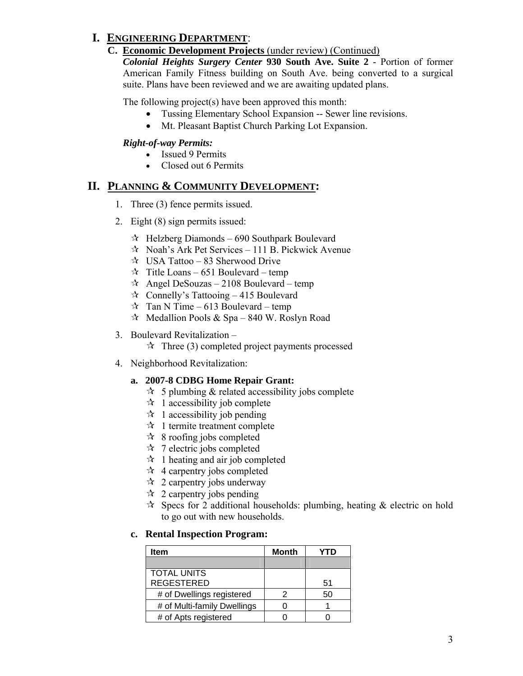# **I. ENGINEERING DEPARTMENT**:

#### **C. Economic Development Projects** (under review) (Continued)

*Colonial Heights Surgery Center* **930 South Ave. Suite 2** - Portion of former American Family Fitness building on South Ave. being converted to a surgical suite. Plans have been reviewed and we are awaiting updated plans.

The following project(s) have been approved this month:

- Tussing Elementary School Expansion -- Sewer line revisions.
- Mt. Pleasant Baptist Church Parking Lot Expansion.

#### *Right-of-way Permits:*

- Issued 9 Permits
- Closed out 6 Permits

### **II. PLANNING & COMMUNITY DEVELOPMENT:**

- 1. Three (3) fence permits issued.
- 2. Eight (8) sign permits issued:
	- $\approx$  Helzberg Diamonds 690 Southpark Boulevard
	- $\approx$  Noah's Ark Pet Services 111 B. Pickwick Avenue
	- $\approx$  USA Tattoo 83 Sherwood Drive
	- $\hat{x}$  Title Loans 651 Boulevard temp
	- $\hat{x}$  Angel DeSouzas 2108 Boulevard temp
	- $\approx$  Connelly's Tattooing 415 Boulevard
	- $\hat{x}$  Tan N Time 613 Boulevard temp
	- $\approx$  Medallion Pools & Spa 840 W. Roslyn Road

#### 3. Boulevard Revitalization –

- $\hat{\mathcal{A}}$  Three (3) completed project payments processed
- 4. Neighborhood Revitalization:

#### **a. 2007-8 CDBG Home Repair Grant:**

- $\approx$  5 plumbing & related accessibility jobs complete
- $\star$  1 accessibility job complete
- $\star$  1 accessibility job pending
- $\star$  1 termite treatment complete
- $\approx$  8 roofing jobs completed
- $\approx$  7 electric jobs completed
- $\mathcal{A}$  1 heating and air job completed
- $\star$  4 carpentry jobs completed
- $\approx$  2 carpentry jobs underway
- $\approx$  2 carpentry jobs pending
- $\approx$  Specs for 2 additional households: plumbing, heating & electric on hold to go out with new households.

#### **c. Rental Inspection Program:**

| Item                        | Month | ΊŊ |
|-----------------------------|-------|----|
|                             |       |    |
| <b>TOTAL UNITS</b>          |       |    |
| <b>REGESTERED</b>           |       | 51 |
| # of Dwellings registered   |       | 50 |
| # of Multi-family Dwellings |       |    |
| # of Apts registered        |       |    |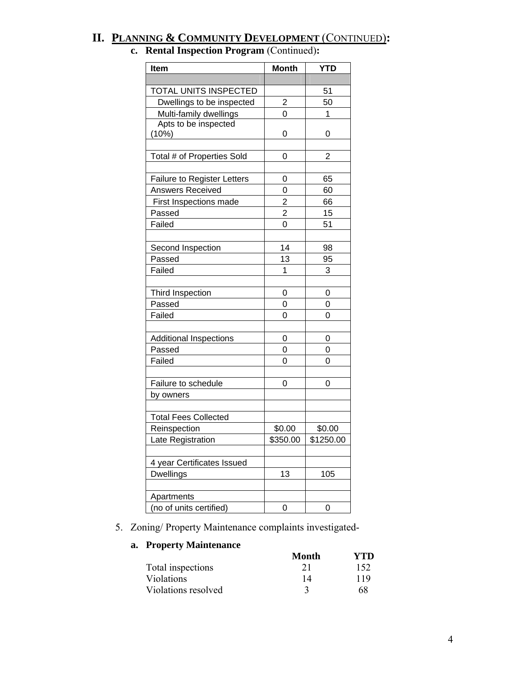# **II. PLANNING & COMMUNITY DEVELOPMENT** (CONTINUED)**:**

| <b>Item</b>                        | <b>Month</b>   | <b>YTD</b>     |
|------------------------------------|----------------|----------------|
|                                    |                |                |
| TOTAL UNITS INSPECTED              |                | 51             |
| Dwellings to be inspected          | $\overline{2}$ | 50             |
| Multi-family dwellings             | 0              | 1              |
| Apts to be inspected               |                |                |
| (10%)                              | 0              | 0              |
|                                    |                |                |
| Total # of Properties Sold         | 0              | $\overline{2}$ |
|                                    |                |                |
| <b>Failure to Register Letters</b> | 0              | 65             |
| Answers Received                   | 0              | 60             |
| First Inspections made             | $\overline{2}$ | 66             |
| Passed                             | $\overline{c}$ | 15             |
| Failed                             | 0              | 51             |
|                                    |                |                |
| Second Inspection                  | 14             | 98             |
| Passed                             | 13             | 95             |
| Failed                             | 1              | 3              |
|                                    |                |                |
| Third Inspection                   | 0              | 0              |
| Passed                             | 0              | 0              |
| Failed                             | 0              | 0              |
|                                    |                |                |
| <b>Additional Inspections</b>      | 0              | 0              |
| Passed                             | 0              | 0              |
| Failed                             | 0              | 0              |
|                                    |                |                |
| Failure to schedule                | 0              | 0              |
| by owners                          |                |                |
|                                    |                |                |
| <b>Total Fees Collected</b>        |                |                |
| Reinspection                       | \$0.00         | \$0.00         |
| Late Registration                  | \$350.00       | \$1250.00      |
|                                    |                |                |
| 4 year Certificates Issued         |                |                |
| <b>Dwellings</b>                   | 13             | 105            |
|                                    |                |                |
| Apartments                         |                |                |
| (no of units certified)            | 0              | 0              |

# **c. Rental Inspection Program** (Continued)**:**

5. Zoning/ Property Maintenance complaints investigated-

#### **a. Property Maintenance**

|                     | Month | YTD. |
|---------------------|-------|------|
| Total inspections   | 21    | 152  |
| <b>Violations</b>   |       | 119  |
| Violations resolved |       | 68   |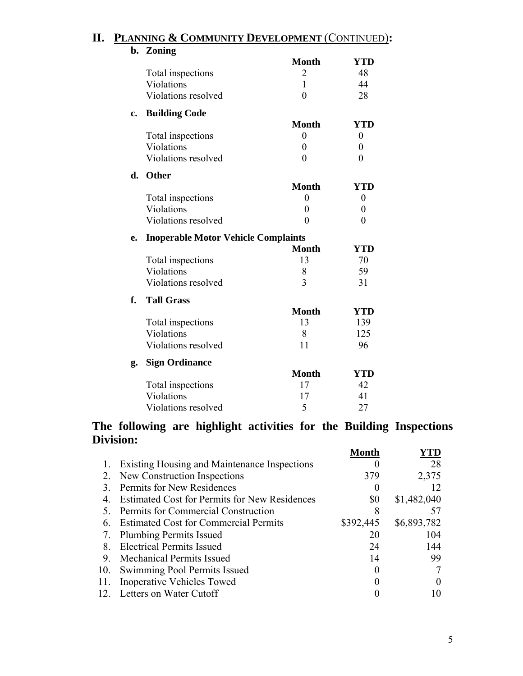| b. | Zoning                                     |                  |                  |
|----|--------------------------------------------|------------------|------------------|
|    |                                            | <b>Month</b>     | <b>YTD</b>       |
|    | Total inspections                          | 2                | 48               |
|    | Violations                                 | $\mathbf{1}$     | 44               |
|    | Violations resolved                        | $\overline{0}$   | 28               |
| c. | <b>Building Code</b>                       |                  |                  |
|    |                                            | <b>Month</b>     | <b>YTD</b>       |
|    | Total inspections                          | $\overline{0}$   | $\boldsymbol{0}$ |
|    | Violations                                 | $\boldsymbol{0}$ | $\boldsymbol{0}$ |
|    | Violations resolved                        | $\overline{0}$   | $\boldsymbol{0}$ |
| d. | <b>Other</b>                               |                  |                  |
|    |                                            | <b>Month</b>     | <b>YTD</b>       |
|    | Total inspections                          | $\boldsymbol{0}$ | $\boldsymbol{0}$ |
|    | Violations                                 | $\boldsymbol{0}$ | $\boldsymbol{0}$ |
|    | Violations resolved                        | $\overline{0}$   | $\overline{0}$   |
| e. | <b>Inoperable Motor Vehicle Complaints</b> |                  |                  |
|    |                                            | <b>Month</b>     | <b>YTD</b>       |
|    | Total inspections                          | 13               | 70               |
|    | Violations                                 | 8                | 59               |
|    | Violations resolved                        | $\overline{3}$   | 31               |
| f. | <b>Tall Grass</b>                          |                  |                  |
|    |                                            | <b>Month</b>     | <b>YTD</b>       |
|    | Total inspections                          | 13               | 139              |
|    | Violations                                 | 8                | 125              |
|    | Violations resolved                        | 11               | 96               |
| g. | <b>Sign Ordinance</b>                      |                  |                  |
|    |                                            | <b>Month</b>     | <b>YTD</b>       |
|    | Total inspections                          | 17               | 42               |
|    | Violations                                 | 17               | 41               |
|    | Violations resolved                        | 5                | 27               |

# **II. PLANNING & COMMUNITY DEVELOPMENT** (CONTINUED)**:**

### **The following are highlight activities for the Building Inspections Division:**

|     |                                                      | Month     |             |
|-----|------------------------------------------------------|-----------|-------------|
|     | Existing Housing and Maintenance Inspections         |           | 28          |
| 2.  | New Construction Inspections                         | 379       | 2,375       |
| 3   | Permits for New Residences                           |           | 12          |
| 4   | <b>Estimated Cost for Permits for New Residences</b> | \$0       | \$1,482,040 |
| 5.  | Permits for Commercial Construction                  |           |             |
| 6   | <b>Estimated Cost for Commercial Permits</b>         | \$392,445 | \$6,893,782 |
| 7.  | <b>Plumbing Permits Issued</b>                       | 20        | 104         |
| 8   | <b>Electrical Permits Issued</b>                     | 24        | 144         |
| 9   | <b>Mechanical Permits Issued</b>                     | 14        | 99          |
| 10. | Swimming Pool Permits Issued                         |           |             |
| 11. | Inoperative Vehicles Towed                           |           |             |
|     | 12. Letters on Water Cutoff                          |           |             |
|     |                                                      |           |             |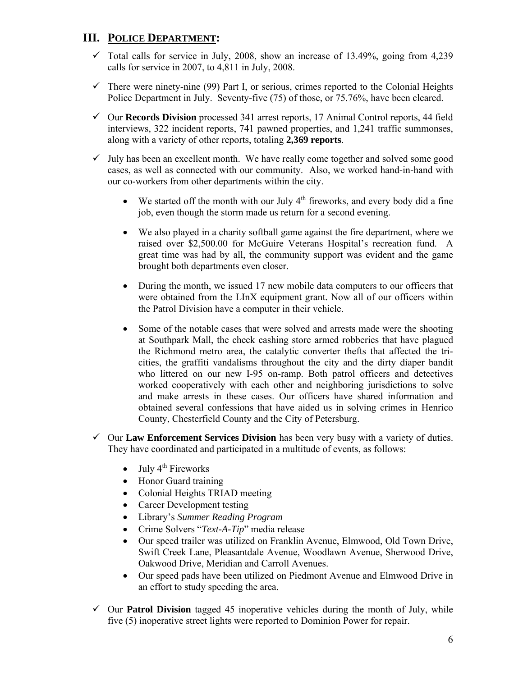## **III. POLICE DEPARTMENT:**

- $\checkmark$  Total calls for service in July, 2008, show an increase of 13.49%, going from 4,239 calls for service in 2007, to 4,811 in July, 2008.
- $\checkmark$  There were ninety-nine (99) Part I, or serious, crimes reported to the Colonial Heights Police Department in July. Seventy-five (75) of those, or 75.76%, have been cleared.
- 9 Our **Records Division** processed 341 arrest reports, 17 Animal Control reports, 44 field interviews, 322 incident reports, 741 pawned properties, and 1,241 traffic summonses, along with a variety of other reports, totaling **2,369 reports**.
- $\checkmark$  July has been an excellent month. We have really come together and solved some good cases, as well as connected with our community. Also, we worked hand-in-hand with our co-workers from other departments within the city.
	- We started off the month with our July  $4<sup>th</sup>$  fireworks, and every body did a fine job, even though the storm made us return for a second evening.
	- We also played in a charity softball game against the fire department, where we raised over \$2,500.00 for McGuire Veterans Hospital's recreation fund. A great time was had by all, the community support was evident and the game brought both departments even closer.
	- During the month, we issued 17 new mobile data computers to our officers that were obtained from the LInX equipment grant. Now all of our officers within the Patrol Division have a computer in their vehicle.
	- Some of the notable cases that were solved and arrests made were the shooting at Southpark Mall, the check cashing store armed robberies that have plagued the Richmond metro area, the catalytic converter thefts that affected the tricities, the graffiti vandalisms throughout the city and the dirty diaper bandit who littered on our new I-95 on-ramp. Both patrol officers and detectives worked cooperatively with each other and neighboring jurisdictions to solve and make arrests in these cases. Our officers have shared information and obtained several confessions that have aided us in solving crimes in Henrico County, Chesterfield County and the City of Petersburg.
- $\checkmark$  Our **Law Enforcement Services Division** has been very busy with a variety of duties. They have coordinated and participated in a multitude of events, as follows:
	- July  $4^{th}$  Fireworks
	- Honor Guard training
	- Colonial Heights TRIAD meeting
	- Career Development testing
	- Library's *Summer Reading Program*
	- Crime Solvers "*Text-A-Tip*" media release
	- Our speed trailer was utilized on Franklin Avenue, Elmwood, Old Town Drive, Swift Creek Lane, Pleasantdale Avenue, Woodlawn Avenue, Sherwood Drive, Oakwood Drive, Meridian and Carroll Avenues.
	- Our speed pads have been utilized on Piedmont Avenue and Elmwood Drive in an effort to study speeding the area.
- $\checkmark$  Our **Patrol Division** tagged 45 inoperative vehicles during the month of July, while five (5) inoperative street lights were reported to Dominion Power for repair.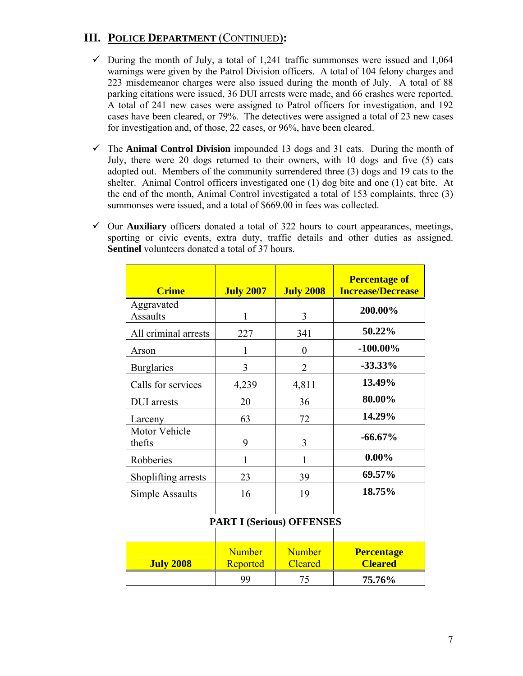# **III. POLICE DEPARTMENT** (CONTINUED)**:**

- $\checkmark$  During the month of July, a total of 1,241 traffic summonses were issued and 1,064 warnings were given by the Patrol Division officers. A total of 104 felony charges and 223 misdemeanor charges were also issued during the month of July. A total of 88 parking citations were issued, 36 DUI arrests were made, and 66 crashes were reported. A total of 241 new cases were assigned to Patrol officers for investigation, and 192 cases have been cleared, or 79%. The detectives were assigned a total of 23 new cases for investigation and, of those, 22 cases, or 96%, have been cleared.
- $\checkmark$  The **Animal Control Division** impounded 13 dogs and 31 cats. During the month of July, there were 20 dogs returned to their owners, with 10 dogs and five (5) cats adopted out. Members of the community surrendered three (3) dogs and 19 cats to the shelter. Animal Control officers investigated one (1) dog bite and one (1) cat bite. At the end of the month, Animal Control investigated a total of 153 complaints, three (3) summonses were issued, and a total of \$669.00 in fees was collected.
- $\checkmark$  Our **Auxiliary** officers donated a total of 322 hours to court appearances, meetings, sporting or civic events, extra duty, traffic details and other duties as assigned. **Sentinel** volunteers donated a total of 37 hours.

| <b>Crime</b>                  | <b>July 2007</b>                 | <b>July 2008</b>                | <b>Percentage of</b><br><b>Increase/Decrease</b> |
|-------------------------------|----------------------------------|---------------------------------|--------------------------------------------------|
| Aggravated<br><b>Assaults</b> | 1                                | 3                               | 200.00%                                          |
| All criminal arrests          | 227                              | 341                             | 50.22%                                           |
| Arson                         | 1                                | $\boldsymbol{0}$                | $-100.00\%$                                      |
| <b>Burglaries</b>             | 3                                | $\overline{2}$                  | $-33.33\%$                                       |
| Calls for services            | 4,239                            | 4,811                           | 13.49%                                           |
| <b>DUI</b> arrests            | 20                               | 36                              | 80.00%                                           |
| Larceny                       | 63                               | 72                              | 14.29%                                           |
| Motor Vehicle<br>thefts       | 9                                | 3                               | $-66.67\%$                                       |
| Robberies                     | 1                                | 1                               | $0.00\%$                                         |
| Shoplifting arrests           | 23                               | 39                              | 69.57%                                           |
| Simple Assaults               | 16                               | 19                              | 18.75%                                           |
|                               | <b>PART I (Serious) OFFENSES</b> |                                 |                                                  |
|                               |                                  |                                 |                                                  |
| <b>July 2008</b>              | <b>Number</b><br>Reported        | <b>Number</b><br><b>Cleared</b> | <b>Percentage</b><br><b>Cleared</b>              |
|                               | 99                               | 75                              | 75.76%                                           |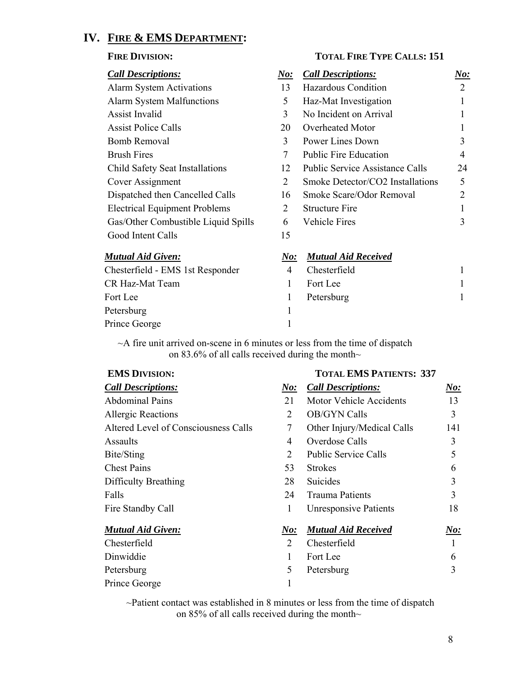# **IV. FIRE & EMS DEPARTMENT:**

#### FIRE DIVISION: TOTAL FIRE TYPE CALLS: 151

| <b>Call Descriptions:</b>            | $N\!o$ :  | <b>Call Descriptions:</b>              | $\boldsymbol{\it No:}$ |
|--------------------------------------|-----------|----------------------------------------|------------------------|
| <b>Alarm System Activations</b>      | 13        | <b>Hazardous Condition</b>             | 2                      |
| <b>Alarm System Malfunctions</b>     | 5         | Haz-Mat Investigation                  |                        |
| Assist Invalid                       | 3         | No Incident on Arrival                 |                        |
| <b>Assist Police Calls</b>           | 20        | Overheated Motor                       |                        |
| Bomb Removal                         | 3         | Power Lines Down                       | 3                      |
| <b>Brush Fires</b>                   | 7         | <b>Public Fire Education</b>           | 4                      |
| Child Safety Seat Installations      | 12        | <b>Public Service Assistance Calls</b> | 24                     |
| Cover Assignment                     | 2         | Smoke Detector/CO2 Installations       | 5                      |
| Dispatched then Cancelled Calls      | 16        | Smoke Scare/Odor Removal               | 2                      |
| <b>Electrical Equipment Problems</b> | 2         | <b>Structure Fire</b>                  |                        |
| Gas/Other Combustible Liquid Spills  | 6         | <b>Vehicle Fires</b>                   | 3                      |
| Good Intent Calls                    | 15        |                                        |                        |
| Mutual Aid Given:                    | No:       | <b>Mutual Aid Received</b>             |                        |
| Chasterfield EMS Let Desponder       | $\Lambda$ | Chactarfield                           |                        |

| Chesterfield - EMS 1st Responder | Chesterfield |  |
|----------------------------------|--------------|--|
| CR Haz-Mat Team                  | Fort Lee     |  |
| Fort Lee                         | Petersburg   |  |
| Petersburg                       |              |  |
| Prince George                    |              |  |

 $\sim$ A fire unit arrived on-scene in 6 minutes or less from the time of dispatch on 83.6% of all calls received during the month~

#### **EMS DIVISION: TOTAL EMS PATIENTS: 337**

| <b>Call Descriptions:</b>            | $N\!o$ :      | <b>Call Descriptions:</b>      | N o: |
|--------------------------------------|---------------|--------------------------------|------|
| <b>Abdominal Pains</b>               | 21            | <b>Motor Vehicle Accidents</b> | 13   |
| <b>Allergic Reactions</b>            | 2             | <b>OB/GYN Calls</b>            | 3    |
| Altered Level of Consciousness Calls | 7             | Other Injury/Medical Calls     | 141  |
| Assaults                             | 4             | Overdose Calls                 | 3    |
| Bite/Sting                           | 2             | <b>Public Service Calls</b>    | 5    |
| <b>Chest Pains</b>                   | 53            | <b>Strokes</b>                 | 6    |
| Difficulty Breathing                 | 28            | Suicides                       | 3    |
| Falls                                | 24            | <b>Trauma Patients</b>         | 3    |
| Fire Standby Call                    | 1             | <b>Unresponsive Patients</b>   | 18   |
| <b>Mutual Aid Given:</b>             | N o:          | <b>Mutual Aid Received</b>     | N o: |
| Chesterfield                         | $\mathcal{L}$ | Chesterfield                   |      |
| Dinwiddie                            | 1             | Fort Lee                       | 6    |
| Petersburg                           | 5             | Petersburg                     | 3    |
| Prince George                        |               |                                |      |

~Patient contact was established in 8 minutes or less from the time of dispatch on 85% of all calls received during the month~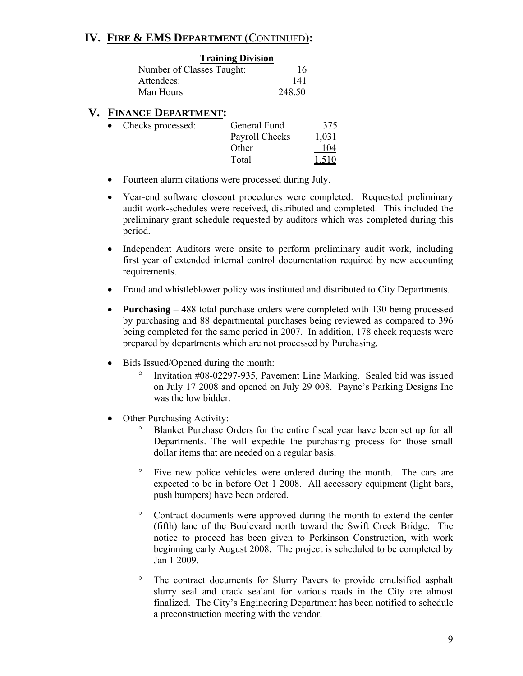### **IV. FIRE & EMS DEPARTMENT** (CONTINUED)**:**

# **Training Division**

| Number of Classes Taught: |        |
|---------------------------|--------|
| Attendees:                | 141    |
| Man Hours                 | 248.50 |

#### **V. FINANCE DEPARTMENT:**

| • Checks processed: | General Fund   | 375   |
|---------------------|----------------|-------|
|                     | Payroll Checks | 1,031 |
|                     | Other          | 104   |
|                     | Total          | 1,510 |

- Fourteen alarm citations were processed during July.
- Year-end software closeout procedures were completed. Requested preliminary audit work-schedules were received, distributed and completed. This included the preliminary grant schedule requested by auditors which was completed during this period.
- Independent Auditors were onsite to perform preliminary audit work, including first year of extended internal control documentation required by new accounting requirements.
- Fraud and whistleblower policy was instituted and distributed to City Departments.
- **Purchasing** 488 total purchase orders were completed with 130 being processed by purchasing and 88 departmental purchases being reviewed as compared to 396 being completed for the same period in 2007. In addition, 178 check requests were prepared by departments which are not processed by Purchasing.
- Bids Issued/Opened during the month:
	- ° Invitation #08-02297-935, Pavement Line Marking. Sealed bid was issued on July 17 2008 and opened on July 29 008. Payne's Parking Designs Inc was the low bidder.
- Other Purchasing Activity:
	- Blanket Purchase Orders for the entire fiscal year have been set up for all Departments. The will expedite the purchasing process for those small dollar items that are needed on a regular basis.
	- ° Five new police vehicles were ordered during the month. The cars are expected to be in before Oct 1 2008. All accessory equipment (light bars, push bumpers) have been ordered.
	- ° Contract documents were approved during the month to extend the center (fifth) lane of the Boulevard north toward the Swift Creek Bridge. The notice to proceed has been given to Perkinson Construction, with work beginning early August 2008. The project is scheduled to be completed by Jan 1 2009.
	- ° The contract documents for Slurry Pavers to provide emulsified asphalt slurry seal and crack sealant for various roads in the City are almost finalized. The City's Engineering Department has been notified to schedule a preconstruction meeting with the vendor.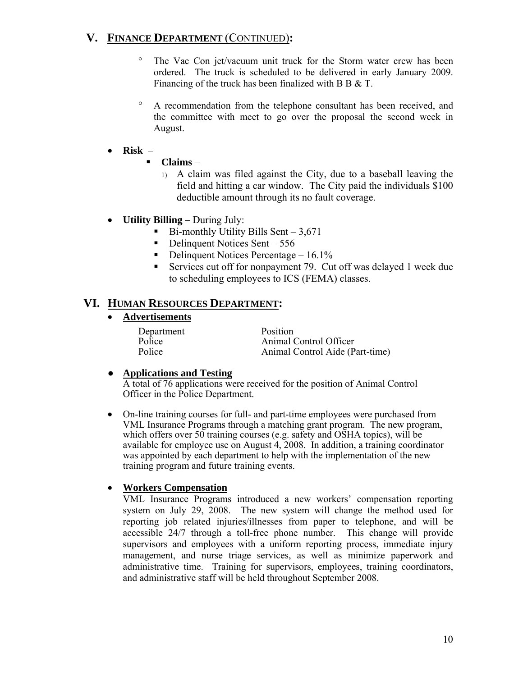# **V. FINANCE DEPARTMENT** (CONTINUED)**:**

- ° The Vac Con jet/vacuum unit truck for the Storm water crew has been ordered. The truck is scheduled to be delivered in early January 2009. Financing of the truck has been finalized with B B & T.
- ° A recommendation from the telephone consultant has been received, and the committee with meet to go over the proposal the second week in August.

#### • **Risk** –

- **Claims**
	- 1) A claim was filed against the City, due to a baseball leaving the field and hitting a car window. The City paid the individuals \$100 deductible amount through its no fault coverage.
- **Utility Billing** During July:
	- $\blacksquare$  Bi-monthly Utility Bills Sent 3,671
	- $\blacksquare$  Delinquent Notices Sent 556
	- Delinquent Notices Percentage  $16.1\%$
	- Services cut off for nonpayment 79. Cut off was delayed 1 week due to scheduling employees to ICS (FEMA) classes.

### **VI. HUMAN RESOURCES DEPARTMENT:**

• **Advertisements**

Department Position

Police Animal Control Officer<br>Police Animal Control Aide (P Animal Control Aide (Part-time)

#### ● **Applications and Testing**

A total of 76 applications were received for the position of Animal Control Officer in the Police Department.

• On-line training courses for full- and part-time employees were purchased from VML Insurance Programs through a matching grant program. The new program, which offers over 50 training courses (e.g. safety and OSHA topics), will be available for employee use on August 4, 2008. In addition, a training coordinator was appointed by each department to help with the implementation of the new training program and future training events.

#### • **Workers Compensation**

VML Insurance Programs introduced a new workers' compensation reporting system on July 29, 2008. The new system will change the method used for reporting job related injuries/illnesses from paper to telephone, and will be accessible 24/7 through a toll-free phone number. This change will provide supervisors and employees with a uniform reporting process, immediate injury management, and nurse triage services, as well as minimize paperwork and administrative time. Training for supervisors, employees, training coordinators, and administrative staff will be held throughout September 2008.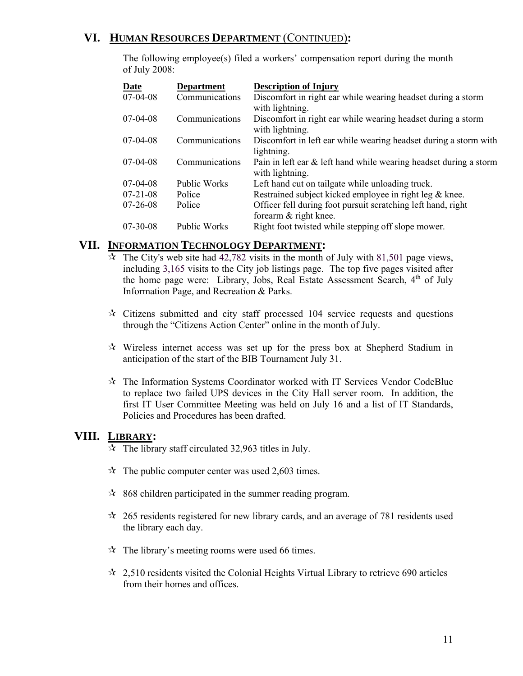# **VI. HUMAN RESOURCES DEPARTMENT** (CONTINUED)**:**

The following employee(s) filed a workers' compensation report during the month of July 2008:

| Date           | <b>Department</b>   | <b>Description of Injury</b>                                      |
|----------------|---------------------|-------------------------------------------------------------------|
| $07-04-08$     | Communications      | Discomfort in right ear while wearing headset during a storm      |
|                |                     | with lightning.                                                   |
| $07-04-08$     | Communications      | Discomfort in right ear while wearing headset during a storm      |
|                |                     | with lightning.                                                   |
| $07-04-08$     | Communications      | Discomfort in left ear while wearing headset during a storm with  |
|                |                     | lightning.                                                        |
| $07-04-08$     | Communications      | Pain in left ear & left hand while wearing headset during a storm |
|                |                     | with lightning.                                                   |
| $07-04-08$     | <b>Public Works</b> | Left hand cut on tailgate while unloading truck.                  |
| $07 - 21 - 08$ | Police              | Restrained subject kicked employee in right leg & knee.           |
| $07 - 26 - 08$ | Police              | Officer fell during foot pursuit scratching left hand, right      |
|                |                     | forearm & right knee.                                             |
| $07 - 30 - 08$ | <b>Public Works</b> | Right foot twisted while stepping off slope mower.                |

#### **VII. INFORMATION TECHNOLOGY DEPARTMENT:**

- $\hat{x}$  The City's web site had 42,782 visits in the month of July with 81,501 page views, including 3,165 visits to the City job listings page. The top five pages visited after the home page were: Library, Jobs, Real Estate Assessment Search, 4<sup>th</sup> of July Information Page, and Recreation & Parks.
- $\star$  Citizens submitted and city staff processed 104 service requests and questions through the "Citizens Action Center" online in the month of July.
- $\mathcal{R}$  Wireless internet access was set up for the press box at Shepherd Stadium in anticipation of the start of the BIB Tournament July 31.
- $\mathcal{R}$  The Information Systems Coordinator worked with IT Services Vendor CodeBlue to replace two failed UPS devices in the City Hall server room. In addition, the first IT User Committee Meeting was held on July 16 and a list of IT Standards, Policies and Procedures has been drafted.

#### **VIII. LIBRARY:**

- $\approx$  The library staff circulated 32,963 titles in July.
- $\approx$  The public computer center was used 2,603 times.
- $\approx$  868 children participated in the summer reading program.
- $\approx$  265 residents registered for new library cards, and an average of 781 residents used the library each day.
- $\hat{x}$  The library's meeting rooms were used 66 times.
- $\approx$  2,510 residents visited the Colonial Heights Virtual Library to retrieve 690 articles from their homes and offices.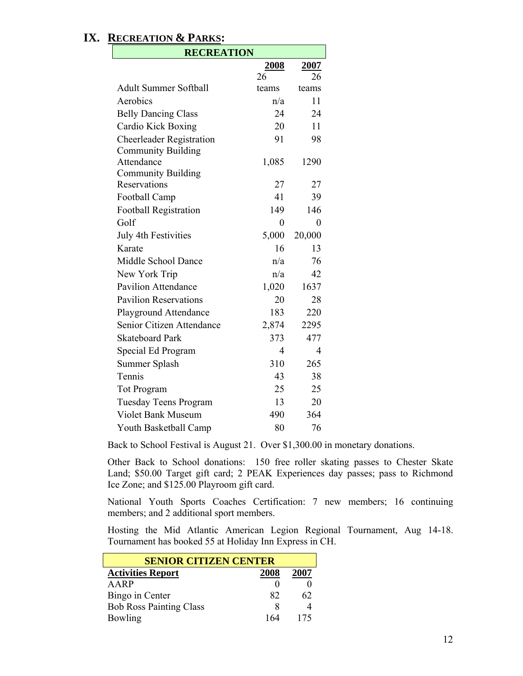### **IX. RECREATION & PARKS:**

| <b>RECREATION</b>               |       |                |  |
|---------------------------------|-------|----------------|--|
|                                 | 2008  | 2007           |  |
|                                 | 26    | 26             |  |
| <b>Adult Summer Softball</b>    | teams | teams          |  |
| Aerobics                        | n/a   | 11             |  |
| <b>Belly Dancing Class</b>      | 24    | 24             |  |
| Cardio Kick Boxing              | 20    | 11             |  |
| <b>Cheerleader Registration</b> | 91    | 98             |  |
| <b>Community Building</b>       |       |                |  |
| Attendance                      | 1,085 | 1290           |  |
| <b>Community Building</b>       |       |                |  |
| Reservations                    | 27    | 27             |  |
| Football Camp                   | 41    | 39             |  |
| <b>Football Registration</b>    | 149   | 146            |  |
| Golf                            | 0     | 0              |  |
| <b>July 4th Festivities</b>     | 5,000 | 20,000         |  |
| Karate                          | 16    | 13             |  |
| Middle School Dance             | n/a   | 76             |  |
| New York Trip                   | n/a   | 42             |  |
| <b>Pavilion Attendance</b>      | 1,020 | 1637           |  |
| <b>Pavilion Reservations</b>    | 20    | 28             |  |
| <b>Playground Attendance</b>    | 183   | 220            |  |
| Senior Citizen Attendance       | 2,874 | 2295           |  |
| <b>Skateboard Park</b>          | 373   | 477            |  |
| Special Ed Program              | 4     | $\overline{4}$ |  |
| Summer Splash                   | 310   | 265            |  |
| Tennis                          | 43    | 38             |  |
| <b>Tot Program</b>              | 25    | 25             |  |
| <b>Tuesday Teens Program</b>    | 13    | 20             |  |
| <b>Violet Bank Museum</b>       | 490   | 364            |  |
| Youth Basketball Camp           | 80    | 76             |  |

Back to School Festival is August 21. Over \$1,300.00 in monetary donations.

Other Back to School donations: 150 free roller skating passes to Chester Skate Land; \$50.00 Target gift card; 2 PEAK Experiences day passes; pass to Richmond Ice Zone; and \$125.00 Playroom gift card.

National Youth Sports Coaches Certification: 7 new members; 16 continuing members; and 2 additional sport members.

Hosting the Mid Atlantic American Legion Regional Tournament, Aug 14-18. Tournament has booked 55 at Holiday Inn Express in CH.

| <b>SENIOR CITIZEN CENTER</b>   |      |      |  |  |
|--------------------------------|------|------|--|--|
| <b>Activities Report</b>       | 2008 | 2007 |  |  |
| AARP                           |      |      |  |  |
| Bingo in Center                | 82   | 62   |  |  |
| <b>Bob Ross Painting Class</b> |      |      |  |  |
| Bowling                        | 164  | 175  |  |  |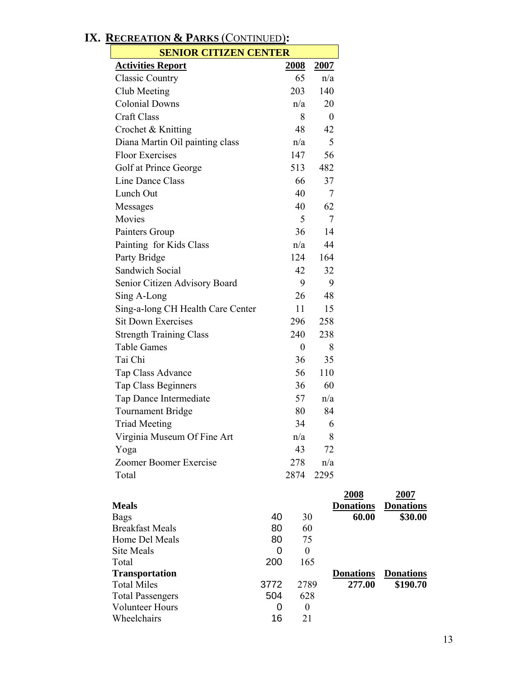Wheelchairs

| <b>SENIOR CITIZEN CENTER</b>      |      |                  |                  |  |
|-----------------------------------|------|------------------|------------------|--|
| <b>Activities Report</b>          |      | <u>2008</u>      | 2007             |  |
| <b>Classic Country</b>            |      | 65               | n/a              |  |
| Club Meeting                      |      | 203              | 140              |  |
| <b>Colonial Downs</b>             |      | n/a              | 20               |  |
| <b>Craft Class</b>                |      | 8                | $\boldsymbol{0}$ |  |
| Crochet & Knitting                |      | 48               | 42               |  |
| Diana Martin Oil painting class   |      | n/a              | 5                |  |
| <b>Floor Exercises</b>            |      | 147              | 56               |  |
| Golf at Prince George             |      | 513              | 482              |  |
| Line Dance Class                  |      | 66               | 37               |  |
| Lunch Out                         |      | 40               | 7                |  |
| Messages                          |      | 40               | 62               |  |
| Movies                            |      | 5                | 7                |  |
| Painters Group                    |      | 36               | 14               |  |
| Painting for Kids Class           |      | n/a              | 44               |  |
| Party Bridge                      |      | 124              | 164              |  |
| Sandwich Social                   |      | 42               | 32               |  |
| Senior Citizen Advisory Board     |      | 9                | 9                |  |
| Sing A-Long                       |      | 26               | 48               |  |
| Sing-a-long CH Health Care Center |      | 11               | 15               |  |
| <b>Sit Down Exercises</b>         |      | 296              | 258              |  |
| <b>Strength Training Class</b>    |      | 240              | 238              |  |
| <b>Table Games</b>                |      | $\overline{0}$   | 8                |  |
| Tai Chi                           |      | 36               | 35               |  |
|                                   |      | 56               | 110              |  |
| Tap Class Advance                 |      |                  |                  |  |
| Tap Class Beginners               |      | 36               | 60               |  |
| Tap Dance Intermediate            |      | 57               | n/a              |  |
| <b>Tournament Bridge</b>          |      | 80               | 84               |  |
| <b>Triad Meeting</b>              |      | 34               | 6                |  |
| Virginia Museum Of Fine Art       |      | n/a              | 8                |  |
| Yoga                              |      | 43               | 72               |  |
| Zoomer Boomer Exercise            |      | 278              | n/a              |  |
| Total                             |      | 2874             | 2295             |  |
|                                   |      |                  |                  |  |
| <b>Meals</b>                      |      |                  | <b>Donations</b> |  |
| <b>Bags</b>                       | 40   | 30               |                  |  |
| <b>Breakfast Meals</b>            | 80   | 60               |                  |  |
| Home Del Meals                    | 80   | 75               |                  |  |
| <b>Site Meals</b>                 | 0    | $\boldsymbol{0}$ |                  |  |
| Total<br><b>Transportation</b>    | 200  | 165              | <b>Donations</b> |  |
| <b>Total Miles</b>                | 3772 | 2789             |                  |  |
|                                   |      |                  |                  |  |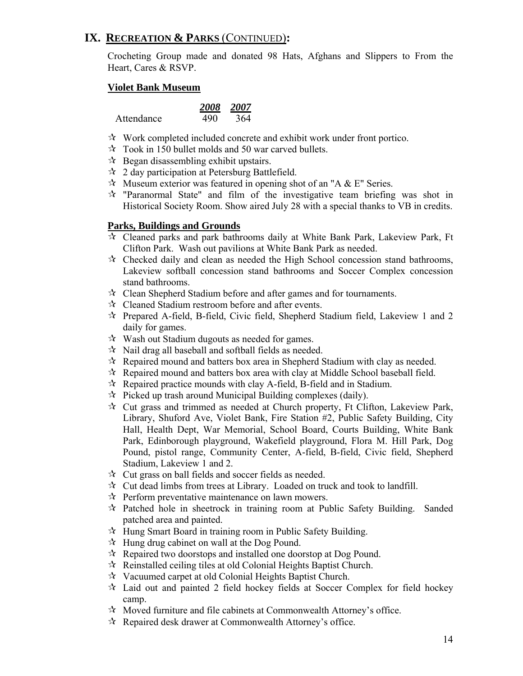Crocheting Group made and donated 98 Hats, Afghans and Slippers to From the Heart, Cares & RSVP.

#### **Violet Bank Museum**

|            |     | 2008 2007 |
|------------|-----|-----------|
| Attendance | 490 | 364       |

- $\mathcal{R}$  Work completed included concrete and exhibit work under front portico.
- $\approx$  Took in 150 bullet molds and 50 war carved bullets.
- $\mathcal{R}$  Began disassembling exhibit upstairs.
- $\approx$  2 day participation at Petersburg Battlefield.
- $\star$  Museum exterior was featured in opening shot of an "A & E" Series.
- $\mathcal{R}$  "Paranormal State" and film of the investigative team briefing was shot in Historical Society Room. Show aired July 28 with a special thanks to VB in credits.

#### **Parks, Buildings and Grounds**

- Cleaned parks and park bathrooms daily at White Bank Park, Lakeview Park, Ft Clifton Park. Wash out pavilions at White Bank Park as needed.
- $\mathcal{R}$  Checked daily and clean as needed the High School concession stand bathrooms, Lakeview softball concession stand bathrooms and Soccer Complex concession stand bathrooms.
- Clean Shepherd Stadium before and after games and for tournaments.
- Cleaned Stadium restroom before and after events.
- $\mathcal{R}$  Prepared A-field, B-field, Civic field, Shepherd Stadium field, Lakeview 1 and 2 daily for games.
- Wash out Stadium dugouts as needed for games.
- $\mathcal{R}$  Nail drag all baseball and softball fields as needed.
- $\mathcal{R}$  Repaired mound and batters box area in Shepherd Stadium with clay as needed.
- $\mathcal{R}$  Repaired mound and batters box area with clay at Middle School baseball field.
- $\mathcal{R}$  Repaired practice mounds with clay A-field, B-field and in Stadium.
- $\hat{\mathcal{R}}$  Picked up trash around Municipal Building complexes (daily).
- $\star$  Cut grass and trimmed as needed at Church property, Ft Clifton, Lakeview Park, Library, Shuford Ave, Violet Bank, Fire Station #2, Public Safety Building, City Hall, Health Dept, War Memorial, School Board, Courts Building, White Bank Park, Edinborough playground, Wakefield playground, Flora M. Hill Park, Dog Pound, pistol range, Community Center, A-field, B-field, Civic field, Shepherd Stadium, Lakeview 1 and 2.
- $\star$  Cut grass on ball fields and soccer fields as needed.
- $\mathcal{R}$  Cut dead limbs from trees at Library. Loaded on truck and took to landfill.
- $\mathcal{R}$  Perform preventative maintenance on lawn mowers.
- $\mathcal{R}$  Patched hole in sheetrock in training room at Public Safety Building. Sanded patched area and painted.
- $\mathcal{A}$  Hung Smart Board in training room in Public Safety Building.
- $\mathcal{A}$  Hung drug cabinet on wall at the Dog Pound.
- $\mathcal{R}$  Repaired two doorstops and installed one doorstop at Dog Pound.
- $\mathcal{R}$  Reinstalled ceiling tiles at old Colonial Heights Baptist Church.
- $\mathcal{R}$  Vacuumed carpet at old Colonial Heights Baptist Church.
- $\lambda$  Laid out and painted 2 field hockey fields at Soccer Complex for field hockey camp.
- $\mathcal{A}$  Moved furniture and file cabinets at Commonwealth Attorney's office.
- $\mathcal{R}$  Repaired desk drawer at Commonwealth Attorney's office.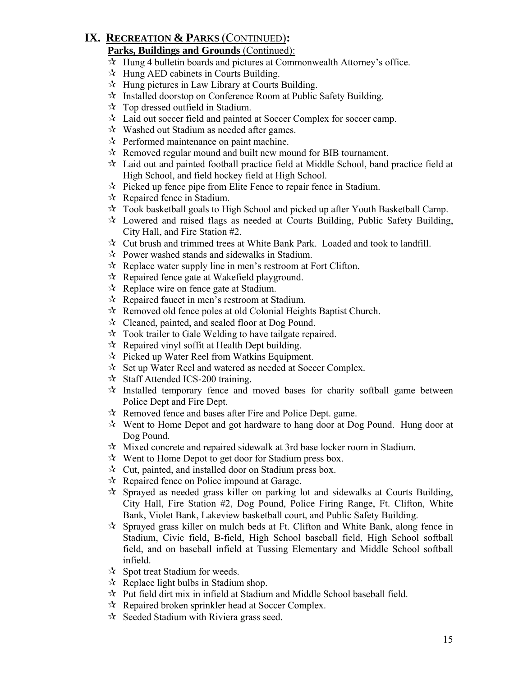#### **Parks, Buildings and Grounds** (Continued):

- $\star$  Hung 4 bulletin boards and pictures at Commonwealth Attorney's office.
- $\mathcal{A}$  Hung AED cabinets in Courts Building.
- $\mathcal{A}$  Hung pictures in Law Library at Courts Building.
- $\mathcal{R}$  Installed doorstop on Conference Room at Public Safety Building.
- $\forall$  Top dressed outfield in Stadium.
- Laid out soccer field and painted at Soccer Complex for soccer camp.
- $\mathcal{R}$  Washed out Stadium as needed after games.
- $\mathcal{R}$  Performed maintenance on paint machine.
- $\mathcal{R}$  Removed regular mound and built new mound for BIB tournament.
- $\mathcal{R}$  Laid out and painted football practice field at Middle School, band practice field at High School, and field hockey field at High School.
- $\mathcal{R}$  Picked up fence pipe from Elite Fence to repair fence in Stadium.
- $\approx$  Repaired fence in Stadium.
- $\lambda$  Took basketball goals to High School and picked up after Youth Basketball Camp.
- Lowered and raised flags as needed at Courts Building, Public Safety Building, City Hall, and Fire Station #2.
- $\mathcal{R}$  Cut brush and trimmed trees at White Bank Park. Loaded and took to landfill.
- $\mathcal{R}$  Power washed stands and sidewalks in Stadium.
- $\mathcal{R}$  Replace water supply line in men's restroom at Fort Clifton.
- $\mathcal{R}$  Repaired fence gate at Wakefield playground.
- $\mathcal{R}$  Replace wire on fence gate at Stadium.
- $\mathcal{R}$  Repaired faucet in men's restroom at Stadium.
- $\mathcal{R}$  Removed old fence poles at old Colonial Heights Baptist Church.
- $\mathcal{R}$  Cleaned, painted, and sealed floor at Dog Pound.
- $\mathbf{\hat{x}}$  Took trailer to Gale Welding to have tailgate repaired.
- $\mathcal{R}$  Repaired vinyl soffit at Health Dept building.
- $\approx$  Picked up Water Reel from Watkins Equipment.
- $\mathcal{R}$  Set up Water Reel and watered as needed at Soccer Complex.
- $\approx$  Staff Attended ICS-200 training.
- $\lambda$  Installed temporary fence and moved bases for charity softball game between Police Dept and Fire Dept.
- $\mathcal{R}$  Removed fence and bases after Fire and Police Dept. game.
- $\mathcal{R}$  Went to Home Depot and got hardware to hang door at Dog Pound. Hung door at Dog Pound.
- $\mathcal{R}$  Mixed concrete and repaired sidewalk at 3rd base locker room in Stadium.
- $\mathcal{R}$  Went to Home Depot to get door for Stadium press box.
- $\forall$  Cut, painted, and installed door on Stadium press box.
- $\mathcal{R}$  Repaired fence on Police impound at Garage.
- $\hat{x}$  Sprayed as needed grass killer on parking lot and sidewalks at Courts Building, City Hall, Fire Station #2, Dog Pound, Police Firing Range, Ft. Clifton, White Bank, Violet Bank, Lakeview basketball court, and Public Safety Building.
- $\mathcal{R}$  Sprayed grass killer on mulch beds at Ft. Clifton and White Bank, along fence in Stadium, Civic field, B-field, High School baseball field, High School softball field, and on baseball infield at Tussing Elementary and Middle School softball infield.
- $\forall$  Spot treat Stadium for weeds.
- $\mathcal{R}$  Replace light bulbs in Stadium shop.
- $\mathcal{R}$  Put field dirt mix in infield at Stadium and Middle School baseball field.
- $\mathcal{R}$  Repaired broken sprinkler head at Soccer Complex.
- $\mathcal{R}$  Seeded Stadium with Riviera grass seed.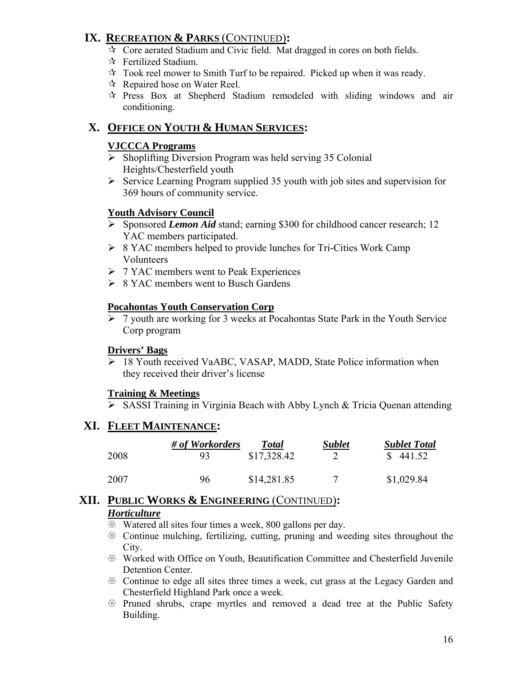- $\mathcal{R}$  Core aerated Stadium and Civic field. Mat dragged in cores on both fields.
- $\mathbf{\hat{x}}$  Fertilized Stadium.
- $\lambda$  Took reel mower to Smith Turf to be repaired. Picked up when it was ready.
- $\mathcal{R}$  Repaired hose on Water Reel.
- Press Box at Shepherd Stadium remodeled with sliding windows and air conditioning.

# **X. OFFICE ON YOUTH & HUMAN SERVICES:**

#### **VJCCCA Programs**

- $\triangleright$  Shoplifting Diversion Program was held serving 35 Colonial Heights/Chesterfield youth
- $\triangleright$  Service Learning Program supplied 35 youth with job sites and supervision for 369 hours of community service.

#### **Youth Advisory Council**

- ¾ Sponsored *Lemon Aid* stand; earning \$300 for childhood cancer research; 12 YAC members participated.
- ¾ 8 YAC members helped to provide lunches for Tri-Cities Work Camp Volunteers
- $\triangleright$  7 YAC members went to Peak Experiences
- $\geq 8$  YAC members went to Busch Gardens

#### **Pocahontas Youth Conservation Corp**

¾ 7 youth are working for 3 weeks at Pocahontas State Park in the Youth Service Corp program

#### **Drivers' Bags**

¾ 18 Youth received VaABC, VASAP, MADD, State Police information when they received their driver's license

#### **Training & Meetings**

 $\triangleright$  SASSI Training in Virginia Beach with Abby Lynch & Tricia Quenan attending

# **XI. FLEET MAINTENANCE:**

|      | # of Workorders | <b>Total</b> | <b>Sublet</b> | <b>Sublet Total</b> |
|------|-----------------|--------------|---------------|---------------------|
| 2008 | -93.            | \$17,328.42  |               | \$441.52            |
| 2007 | 96              | \$14,281.85  |               | \$1,029.84          |

#### **XII. PUBLIC WORKS & ENGINEERING** (CONTINUED)**:** *Horticulture*

- $\circledast$  Watered all sites four times a week, 800 gallons per day.
- $\circledast$  Continue mulching, fertilizing, cutting, pruning and weeding sites throughout the City.
- U Worked with Office on Youth, Beautification Committee and Chesterfield Juvenile Detention Center.
- $\circledast$  Continue to edge all sites three times a week, cut grass at the Legacy Garden and Chesterfield Highland Park once a week.
- U Pruned shrubs, crape myrtles and removed a dead tree at the Public Safety Building.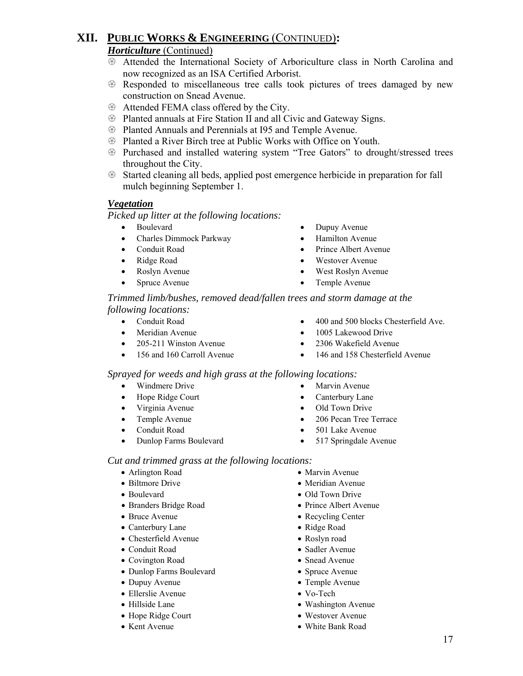#### *Horticulture* (Continued)

- U Attended the International Society of Arboriculture class in North Carolina and now recognized as an ISA Certified Arborist.
- $\circledR$  Responded to miscellaneous tree calls took pictures of trees damaged by new construction on Snead Avenue.
- $\circledast$  Attended FEMA class offered by the City.
- $\circledast$  Planted annuals at Fire Station II and all Civic and Gateway Signs.
- $\circledR$  Planted Annuals and Perennials at I95 and Temple Avenue.
- $\circledast$  Planted a River Birch tree at Public Works with Office on Youth.
- U Purchased and installed watering system "Tree Gators" to drought/stressed trees throughout the City.
- $\otimes$  Started cleaning all beds, applied post emergence herbicide in preparation for fall mulch beginning September 1.

#### *Vegetation*

 *Picked up litter at the following locations:* 

- 
- Charles Dimmock Parkway Hamilton Avenue
- 
- 
- 
- Spruce Avenue Temple Avenue
- Boulevard Dupuy Avenue
	-
- Conduit Road Prince Albert Avenue
- Ridge Road Westover Avenue
- Roslyn Avenue West Roslyn Avenue
	-

*Trimmed limb/bushes, removed dead/fallen trees and storm damage at the following locations:* 

- 
- Meridian Avenue 1005 Lakewood Drive
- 205-211 Winston Avenue 2306 Wakefield Avenue
- 
- 156 and 160 Carroll Avenue 146 and 158 Chesterfield Avenue

#### *Sprayed for weeds and high grass at the following locations:*

- Windmere Drive Marvin Avenue
- Hope Ridge Court Canterbury Lane
- Virginia Avenue Old Town Drive
- 
- 
- Dunlop Farms Boulevard 517 Springdale Avenue
- Conduit Road 400 and 500 blocks Chesterfield Ave.
	-
	-
	-
	-
	-
	-
- Temple Avenue 206 Pecan Tree Terrace
- Conduit Road 501 Lake Avenue
	-

#### *Cut and trimmed grass at the following locations:*

- 
- 
- 
- Branders Bridge Road Prince Albert Avenue
- 
- Canterbury Lane Ridge Road
- Chesterfield Avenue Roslyn road
- 
- Covington Road Snead Avenue
- Dunlop Farms Boulevard Spruce Avenue
- 
- Ellerslie Avenue Vo-Tech
- 
- Hope Ridge Court Westover Avenue
- 
- Arlington Road Marvin Avenue
- Biltmore Drive Meridian Avenue
	-
- Bruce Avenue Recycling Center
	-
	-
	-
	-
	-
- Dupuy Avenue Temple Avenue
	-
- Hillside Lane Washington Avenue
	-
- Kent Avenue White Bank Road
- Boulevard Old Town Drive
	-
	-
	-
- Conduit Road Sadler Avenue
	-
	-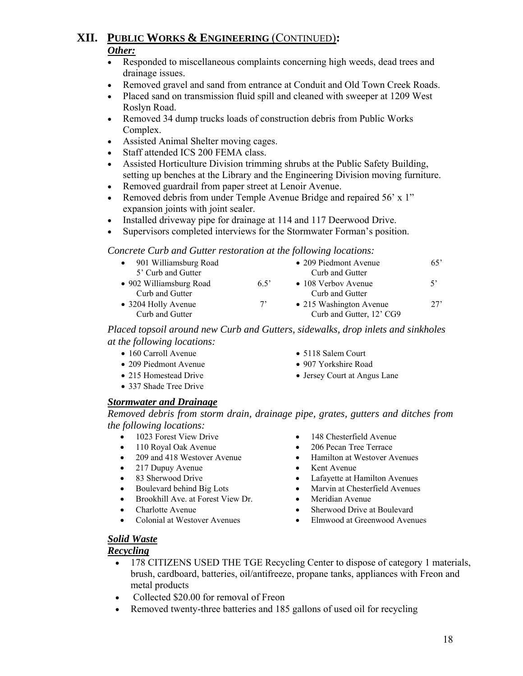#### *Other:*

- Responded to miscellaneous complaints concerning high weeds, dead trees and drainage issues.
- Removed gravel and sand from entrance at Conduit and Old Town Creek Roads.
- Placed sand on transmission fluid spill and cleaned with sweeper at 1209 West Roslyn Road.
- Removed 34 dump trucks loads of construction debris from Public Works Complex.
- Assisted Animal Shelter moving cages.
- Staff attended ICS 200 FEMA class.
- Assisted Horticulture Division trimming shrubs at the Public Safety Building, setting up benches at the Library and the Engineering Division moving furniture.
- Removed guardrail from paper street at Lenoir Avenue.
- Removed debris from under Temple Avenue Bridge and repaired 56' x 1" expansion joints with joint sealer.
- Installed driveway pipe for drainage at 114 and 117 Deerwood Drive.
- Supervisors completed interviews for the Stormwater Forman's position.

*Concrete Curb and Gutter restoration at the following locations:*

| 901 Williamsburg Road<br>5' Curb and Gutter |               | • 209 Piedmont Avenue<br>Curb and Gutter            | 65'         |
|---------------------------------------------|---------------|-----------------------------------------------------|-------------|
| • 902 Williamsburg Road<br>Curb and Gutter  | $6.5^{\circ}$ | $\bullet$ 108 Verbov Avenue<br>Curb and Gutter      | $5^{\circ}$ |
| • 3204 Holly Avenue<br>Curb and Gutter      | $7^{\circ}$   | • 215 Washington Avenue<br>Curb and Gutter, 12' CG9 | 27'         |

 *Placed topsoil around new Curb and Gutters, sidewalks, drop inlets and sinkholes at the following locations:*

- 160 Carroll Avenue 5118 Salem Court
- 209 Piedmont Avenue 907 Yorkshire Road
- 215 Homestead Drive Jersey Court at Angus Lane
- 337 Shade Tree Drive

#### *Stormwater and Drainage*

 *Removed debris from storm drain, drainage pipe, grates, gutters and ditches from the following locations:* 

- 
- 
- 
- 217 Dupuy Avenue Kent Avenue
- 
- 
- Brookhill Ave. at Forest View Dr. Meridian Avenue
- 
- 
- 1023 Forest View Drive 148 Chesterfield Avenue
- 110 Royal Oak Avenue 206 Pecan Tree Terrace
- 209 and 418 Westover Avenue Hamilton at Westover Avenues
	-
- 83 Sherwood Drive Lafayette at Hamilton Avenues
- Boulevard behind Big Lots Marvin at Chesterfield Avenues
	-
- Charlotte Avenue Sherwood Drive at Boulevard
- Colonial at Westover Avenues Elmwood at Greenwood Avenues

#### *Solid Waste*

#### *Recycling*

- 178 CITIZENS USED THE TGE Recycling Center to dispose of category 1 materials, brush, cardboard, batteries, oil/antifreeze, propane tanks, appliances with Freon and metal products
- Collected \$20.00 for removal of Freon
- Removed twenty-three batteries and 185 gallons of used oil for recycling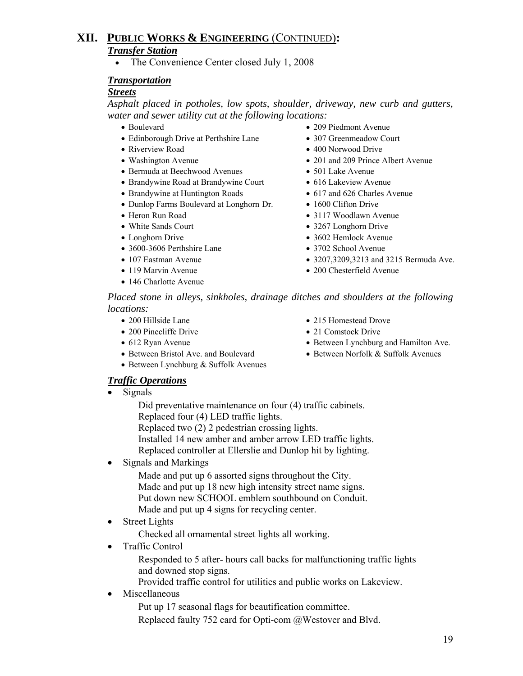# **XII. PUBLIC WORKS & ENGINEERING** (CONTINUED)**:** *Transfer Station*

• The Convenience Center closed July 1, 2008

#### *Transportation*

#### *Streets*

 *Asphalt placed in potholes, low spots, shoulder, driveway, new curb and gutters, water and sewer utility cut at the following locations:* 

- 
- Edinborough Drive at Perthshire Lane 307 Greenmeadow Court
- 
- 
- Bermuda at Beechwood Avenues 501 Lake Avenue
- Brandywine Road at Brandywine Court 616 Lakeview Avenue
- Brandywine at Huntington Roads 617 and 626 Charles Avenue
- Dunlop Farms Boulevard at Longhorn Dr. 1600 Clifton Drive
- 
- 
- 
- 3600-3606 Perthshire Lane 3702 School Avenue
- 
- 
- 146 Charlotte Avenue
- Boulevard 209 Piedmont Avenue
	-
- Riverview Road 400 Norwood Drive
- Washington Avenue 201 and 209 Prince Albert Avenue
	-
	-
	-
	-
- Heron Run Road 3117 Woodlawn Avenue
- White Sands Court 3267 Longhorn Drive
- Longhorn Drive 3602 Hemlock Avenue
	-
- 107 Eastman Avenue 3207,3209,3213 and 3215 Bermuda Ave.
- 119 Marvin Avenue 200 Chesterfield Avenue

 *Placed stone in alleys, sinkholes, drainage ditches and shoulders at the following locations:* 

- 
- 
- 
- Between Bristol Ave. and Boulevard Between Norfolk & Suffolk Avenues
- Between Lynchburg & Suffolk Avenues
- 200 Hillside Lane 215 Homestead Drove
- 200 Pinecliffe Drive 21 Comstock Drive
- 612 Ryan Avenue Between Lynchburg and Hamilton Ave.
	-

#### *Traffic Operations*

• Signals

 Did preventative maintenance on four (4) traffic cabinets. Replaced four (4) LED traffic lights.

- Replaced two (2) 2 pedestrian crossing lights.
- Installed 14 new amber and amber arrow LED traffic lights.
- Replaced controller at Ellerslie and Dunlop hit by lighting.
- Signals and Markings

 Made and put up 6 assorted signs throughout the City. Made and put up 18 new high intensity street name signs. Put down new SCHOOL emblem southbound on Conduit. Made and put up 4 signs for recycling center.

• Street Lights

Checked all ornamental street lights all working.

• Traffic Control

 Responded to 5 after- hours call backs for malfunctioning traffic lights and downed stop signs.

Provided traffic control for utilities and public works on Lakeview.

#### • Miscellaneous

 Put up 17 seasonal flags for beautification committee. Replaced faulty 752 card for Opti-com @Westover and Blvd.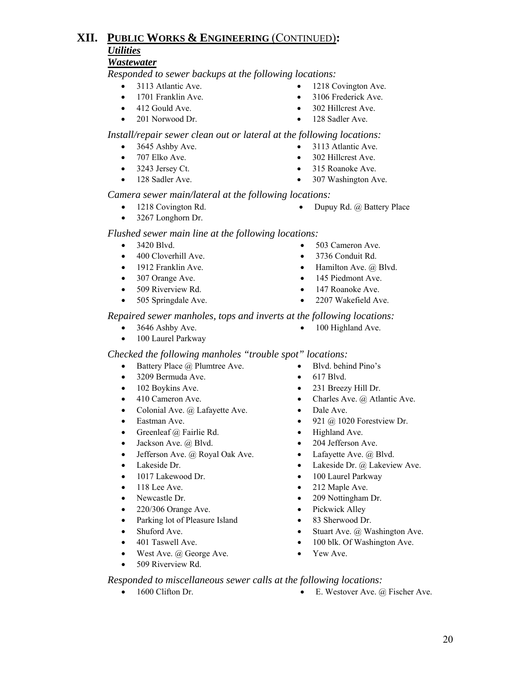#### *Wastewater*

 *Responded to sewer backups at the following locations:*

- 
- 
- 
- 
- 3113 Atlantic Ave. 1218 Covington Ave.
- 1701 Franklin Ave. 3106 Frederick Ave.
- 412 Gould Ave. 302 Hillcrest Ave.
- 201 Norwood Dr. 128 Sadler Ave.

#### *Install/repair sewer clean out or lateral at the following locations:*

- 3645 Ashby Ave. 3113 Atlantic Ave.
- 707 Elko Ave. 302 Hillcrest Ave.
- 3243 Jersey Ct. 315 Roanoke Ave.
- 128 Sadler Ave. 307 Washington Ave.
- 
- 
- 
- 

#### *Camera sewer main/lateral at the following locations:*

- 1218 Covington Rd. Dupuy Rd. @ Battery Place
- 3267 Longhorn Dr.

#### *Flushed sewer main line at the following locations:*

- 
- 400 Cloverhill Ave. 3736 Conduit Rd.
- 
- 307 Orange Ave. 145 Piedmont Ave.
- 
- 
- *Repaired sewer manholes, tops and inverts at the following locations:*
	-
	- 100 Laurel Parkway

#### *Checked the following manholes "trouble spot" locations:*

- Battery Place @ Plumtree Ave. Blvd. behind Pino's
- 3209 Bermuda Ave. 617 Blvd.
- 102 Boykins Ave. 231 Breezy Hill Dr.
- 
- Colonial Ave. @ Lafayette Ave. Dale Ave.
- 
- Greenleaf @ Fairlie Rd. Highland Ave.
- Jackson Ave. @ Blvd. 204 Jefferson Ave.
- Jefferson Ave.  $\omega$  Royal Oak Ave. Lafayette Ave.  $\omega$  Blvd.
- 
- 1017 Lakewood Dr. 100 Laurel Parkway
- 
- 
- 220/306 Orange Ave. Pickwick Alley
- Parking lot of Pleasure Island 83 Sherwood Dr.
- 
- 
- West Ave. @ George Ave. Yew Ave.
- 509 Riverview Rd.
- 3420 Blvd. 503 Cameron Ave.
	-
- 1912 Franklin Ave. Hamilton Ave. @ Blvd.
	-
	-
- 505 Springdale Ave. 2207 Wakefield Ave.

- 3646 Ashby Ave. 100 Highland Ave.
	-
	-
	-
	-
- 410 Cameron Ave. Charles Ave. @ Atlantic Ave.
	-
- Eastman Ave. 921  $\omega$  1020 Forestview Dr.
	-
	-
	-
- Lakeside Dr. Lakeside Dr. @ Lakeview Ave.
	-
- 118 Lee Ave. 212 Maple Ave.
- Newcastle Dr. 209 Nottingham Dr.
	-
	-
- Shuford Ave. Stuart Ave. @ Washington Ave.
- 401 Taswell Ave. 100 blk. Of Washington Ave.
	-

#### *Responded to miscellaneous sewer calls at the following locations:*

- 
- 1600 Clifton Dr. E. Westover Ave. @ Fischer Ave.
- 509 Riverview Rd. 147 Roanoke Ave.
	-
	- -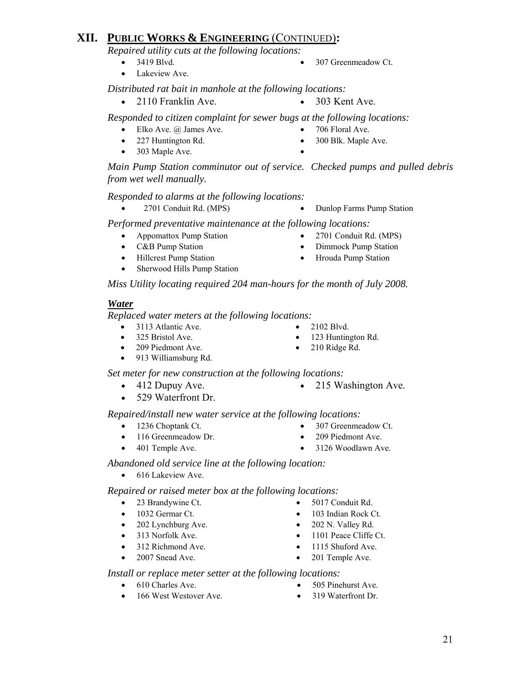*Repaired utility cuts at the following locations:*

- 
- 3419 Blvd. 307 Greenmeadow Ct.
- Lakeview Ave.

*Distributed rat bait in manhole at the following locations:*

- 2110 Franklin Ave. 303 Kent Ave.
	-

*Responded to citizen complaint for sewer bugs at the following locations:*

- Elko Ave. @ James Ave. 706 Floral Ave.
- 
- 227 Huntington Rd. 300 Blk. Maple Ave.
- 303 Maple Ave.

*Main Pump Station comminutor out of service. Checked pumps and pulled debris from wet well manually.* 

 *Responded to alarms at the following locations:*

• 2701 Conduit Rd. (MPS) • Dunlop Farms Pump Station

 *Performed preventative maintenance at the following locations:* 

- Appomattox Pump Station 2701 Conduit Rd. (MPS)
- 
- C&B Pump Station Dimmock Pump Station
- Hillcrest Pump Station Hrouda Pump Station
- Sherwood Hills Pump Station

 *Miss Utility locating required 204 man-hours for the month of July 2008.*

#### *Water*

 *Replaced water meters at the following locations:* 

- 3113 Atlantic Ave. 2102 Blvd.
- 
- 209 Piedmont Ave. 210 Ridge Rd.
- 913 Williamsburg Rd.

*Set meter for new construction at the following locations:*

- 
- 412 Dupuy Ave. 215 Washington Ave.
- 529 Waterfront Dr.

#### *Repaired/install new water service at the following locations:*

- 1236 Choptank Ct. 307 Greenmeadow Ct.
- 116 Greenmeadow Dr. 209 Piedmont Ave.
- 
- 401 Temple Ave. 3126 Woodlawn Ave.

#### *Abandoned old service line at the following location:*

• 616 Lakeview Ave.

*Repaired or raised meter box at the following locations:*

- 23 Brandywine Ct. 5017 Conduit Rd.
- 
- 202 Lynchburg Ave. 202 N. Valley Rd.
- 
- 312 Richmond Ave. 1115 Shuford Ave.
- 2007 Snead Ave. 201 Temple Ave.
- *Install or replace meter setter at the following locations:* 
	- 610 Charles Ave. 505 Pinehurst Ave.
	- 166 West Westover Ave. 319 Waterfront Dr.
- 
- 1032 Germar Ct. 103 Indian Rock Ct.
	-
- 313 Norfolk Ave. 1101 Peace Cliffe Ct.
	-
	-
	-
	-
- -
	-
	-
- -
- 325 Bristol Ave. 123 Huntington Rd.
	-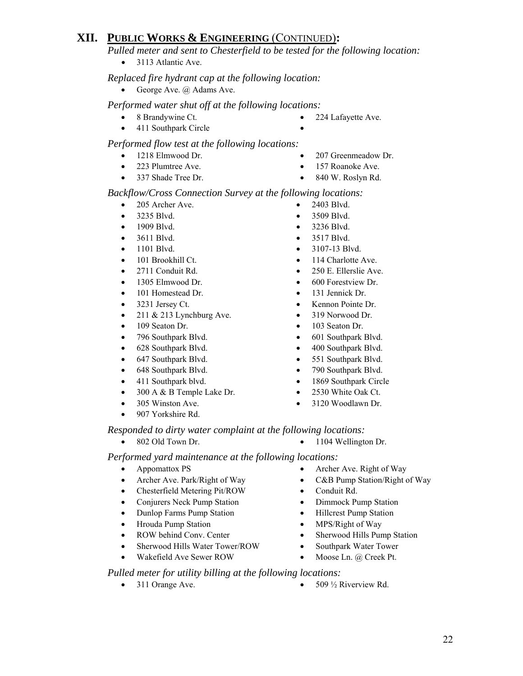*Pulled meter and sent to Chesterfield to be tested for the following location:* 

• 3113 Atlantic Ave.

#### *Replaced fire hydrant cap at the following location:*

• George Ave. @ Adams Ave.

#### *Performed water shut off at the following locations:*

- 8 Brandywine Ct. 224 Lafayette Ave.
- 411 Southpark Circle

#### *Performed flow test at the following locations:*

- 
- 1218 Elmwood Dr. 207 Greenmeadow Dr.
- 223 Plumtree Ave. 157 Roanoke Ave.
- 337 Shade Tree Dr. 840 W. Roslyn Rd.
- 

#### *Backflow/Cross Connection Survey at the following locations:*

- 205 Archer Ave. 2403 Blvd.
- 3235 Blvd. 3509 Blvd.
- 1909 Blvd. 3236 Blvd.
- 3611 Blvd. 3517 Blvd.
- 
- 
- 
- 1305 Elmwood Dr. 600 Forestview Dr.
- 101 Homestead Dr. 131 Jennick Dr.
- 
- 211 & 213 Lynchburg Ave. 319 Norwood Dr.
- 
- 796 Southpark Blvd. 601 Southpark Blvd.
- 
- 647 Southpark Blvd. 551 Southpark Blvd.
- 648 Southpark Blvd. 790 Southpark Blvd.
- 
- 300 A & B Temple Lake Dr. 2530 White Oak Ct.
- 
- 907 Yorkshire Rd.
- 
- 
- 
- 
- 1101 Blvd. 3107-13 Blvd.
- 101 Brookhill Ct. 114 Charlotte Ave.
- 2711 Conduit Rd. 250 E. Ellerslie Ave.
	-
	-
- 3231 Jersey Ct. Kennon Pointe Dr.
	-
- 109 Seaton Dr. 103 Seaton Dr.
	-
- 628 Southpark Blvd. 400 Southpark Blvd.
	-
	-
- 411 Southpark blvd. 1869 Southpark Circle
	-
- 305 Winston Ave. 3120 Woodlawn Dr.

#### *Responded to dirty water complaint at the following locations:*

- 
- 802 Old Town Dr. 1104 Wellington Dr.

*Performed yard maintenance at the following locations:*

- 
- 
- Chesterfield Metering Pit/ROW Conduit Rd.
- Conjurers Neck Pump Station Dimmock Pump Station
- Dunlop Farms Pump Station Hillcrest Pump Station
- Hrouda Pump Station MPS/Right of Way
- 
- Sherwood Hills Water Tower/ROW Southpark Water Tower
- Wakefield Ave Sewer ROW Moose Ln. @ Creek Pt.
- Appomattox PS Archer Ave. Right of Way
- Archer Ave. Park/Right of Way C&B Pump Station/Right of Way
	-
	-
	-
	-
- ROW behind Conv. Center Sherwood Hills Pump Station
	-
	-

#### *Pulled meter for utility billing at the following locations:*

- 
- 311 Orange Ave. 509  $\frac{1}{2}$  Riverview Rd.

22

- 
- 
- 
- 
- 
- 
- 
- 
- 
- 

- 
- 
- 
- 
- 
- 
- 
-